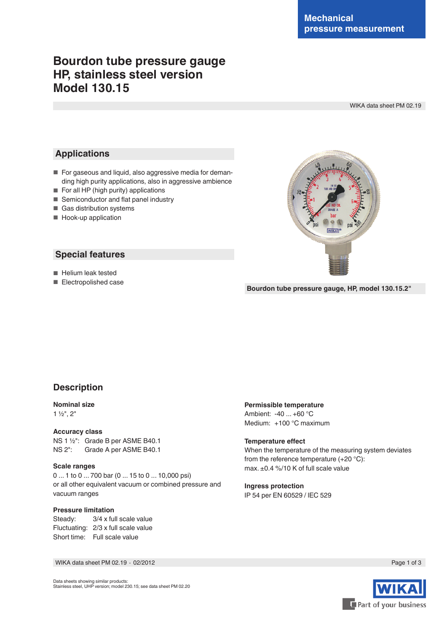# **Bourdon tube pressure gauge HP, stainless steel version Model 130.15**

WIKA data sheet PM 02.19

# **Applications**

- For gaseous and liquid, also aggressive media for demanding high purity applications, also in aggressive ambience
- For all HP (high purity) applications
- Semiconductor and flat panel industry
- Gas distribution systems
- Hook-up application

## **Special features**

■ Helium leak tested

■ Electropolished case

**Bourdon tube pressure gauge, HP, model 130.15.2"**

# **Description**

## **Nominal size**

1 ½", 2"

#### **Accuracy class**

NS 1 <sup>1</sup>/<sub>2</sub>": Grade B per ASME B40.1<br>NS 2": Grade A per ASME B40.1 Grade A per ASME B40.1

#### **Scale ranges**

0 ... 1 to 0 ... 700 bar (0 ... 15 to 0 ... 10,000 psi) or all other equivalent vacuum or combined pressure and vacuum ranges

## **Pressure limitation**

Steady: 3/4 x full scale value Fluctuating: 2/3 x full scale value Short time: Full scale value

## **Permissible temperature**

Ambient: -40 ... +60 °C Medium: +100 °C maximum

#### **Temperature effect**

When the temperature of the measuring system deviates from the reference temperature (+20 °C): max. ±0.4 %/10 K of full scale value

#### **Ingress protection** IP 54 per EN 60529 / lEC 529

WIKA data sheet PM 02.19 ⋅ 02/2012 Page 1 of 3

Part of your business

Data sheets showing similar products:



Stainless steel, UHP version; model 230.15; see data sheet PM 02.20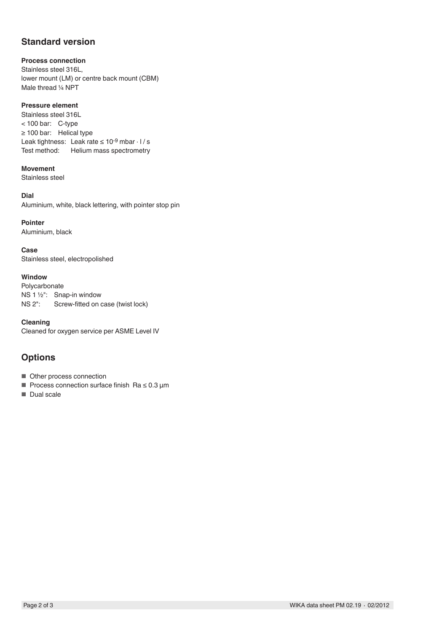# **Standard version**

## **Process connection**

Stainless steel 316L, lower mount (LM) or centre back mount (CBM) Male thread 1/4 NPT

## **Pressure element**

Stainless steel 316L < 100 bar: C-type ≥ 100 bar: Helical type Leak tightness: Leak rate  $\leq 10^{-9}$  mbar  $\cdot$  l / s Test method: Helium mass spectrometry

## **Movement**

Stainless steel

## **Dial**

Aluminium, white, black lettering, with pointer stop pin

## **Pointer**

Aluminium, black

**Case** Stainless steel, electropolished

## **Window**

Polycarbonate NS 1 ½": Snap-in window NS 2": Screw-fitted on case (twist lock)

**Cleaning** Cleaned for oxygen service per ASME Level IV

# **Options**

- Other process connection
- Process connection surface finish Ra ≤ 0.3 µm
- Dual scale